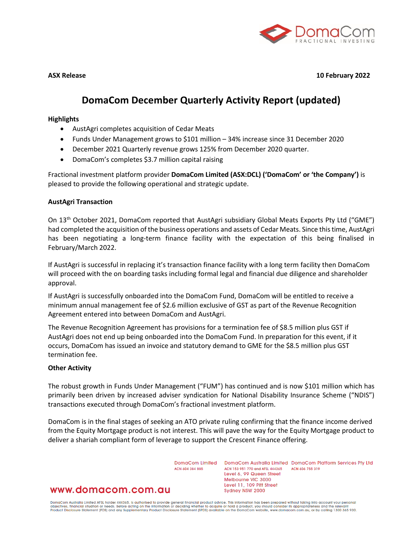

**ASX Release 10 February 2022**

# **DomaCom December Quarterly Activity Report (updated)**

## **Highlights**

- AustAgri completes acquisition of Cedar Meats
- Funds Under Management grows to \$101 million 34% increase since 31 December 2020
- December 2021 Quarterly revenue grows 125% from December 2020 quarter.
- DomaCom's completes \$3.7 million capital raising

Fractional investment platform provider **DomaCom Limited (ASX:DCL) ('DomaCom' or 'the Company')** is pleased to provide the following operational and strategic update.

## **AustAgri Transaction**

On 13<sup>th</sup> October 2021, DomaCom reported that AustAgri subsidiary Global Meats Exports Pty Ltd ("GME") had completed the acquisition of the business operations and assets of Cedar Meats. Since this time, AustAgri has been negotiating a long-term finance facility with the expectation of this being finalised in February/March 2022.

If AustAgri is successful in replacing it's transaction finance facility with a long term facility then DomaCom will proceed with the on boarding tasks including formal legal and financial due diligence and shareholder approval.

If AustAgri is successfully onboarded into the DomaCom Fund, DomaCom will be entitled to receive a minimum annual management fee of \$2.6 million exclusive of GST as part of the Revenue Recognition Agreement entered into between DomaCom and AustAgri.

The Revenue Recognition Agreement has provisions for a termination fee of \$8.5 million plus GST if AustAgri does not end up being onboarded into the DomaCom Fund. In preparation for this event, if it occurs, DomaCom has issued an invoice and statutory demand to GME for the \$8.5 million plus GST termination fee.

#### **Other Activity**

The robust growth in Funds Under Management ("FUM") has continued and is now \$101 million which has primarily been driven by increased adviser syndication for National Disability Insurance Scheme ("NDIS") transactions executed through DomaCom's fractional investment platform.

DomaCom is in the final stages of seeking an ATO private ruling confirming that the finance income derived from the Equity Mortgage product is not interest. This will pave the way for the Equity Mortgage product to deliver a shariah compliant form of leverage to support the Crescent Finance offering.

ACN 604 384 885

DomaCom Limited DomaCom Australia Limited DomaCom Platform Services Pty Ltd ACN 153 951 770 and AFSL 444365 ACN 606 755 319 Level 6, 99 Queen Street Melbourne VIC 3000 Level 11, 109 Pitt Street Sydney NSW 2000

## www.domacom.com.au

DomaCom Australia Limited AFSL holder 444365, is authorised to provide general financial product advice. This information has been prepared without taking into account your personal<br>objectives, financial situation or needs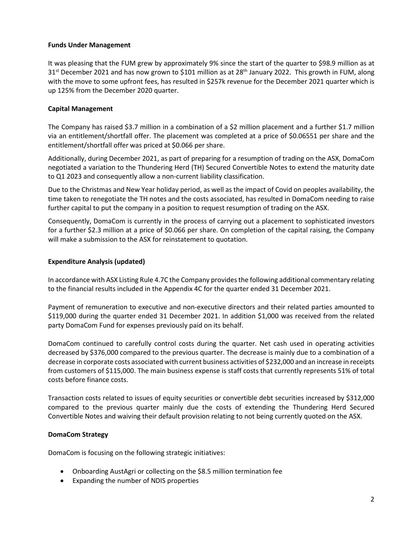## **Funds Under Management**

It was pleasing that the FUM grew by approximately 9% since the start of the quarter to \$98.9 million as at  $31<sup>st</sup>$  December 2021 and has now grown to \$101 million as at 28<sup>th</sup> January 2022. This growth in FUM, along with the move to some upfront fees, has resulted in \$257k revenue for the December 2021 quarter which is up 125% from the December 2020 quarter.

## **Capital Management**

The Company has raised \$3.7 million in a combination of a \$2 million placement and a further \$1.7 million via an entitlement/shortfall offer. The placement was completed at a price of \$0.06551 per share and the entitlement/shortfall offer was priced at \$0.066 per share.

Additionally, during December 2021, as part of preparing for a resumption of trading on the ASX, DomaCom negotiated a variation to the Thundering Herd (TH) Secured Convertible Notes to extend the maturity date to Q1 2023 and consequently allow a non-current liability classification.

Due to the Christmas and New Year holiday period, as well as the impact of Covid on peoples availability, the time taken to renegotiate the TH notes and the costs associated, has resulted in DomaCom needing to raise further capital to put the company in a position to request resumption of trading on the ASX.

Consequently, DomaCom is currently in the process of carrying out a placement to sophisticated investors for a further \$2.3 million at a price of \$0.066 per share. On completion of the capital raising, the Company will make a submission to the ASX for reinstatement to quotation.

## **Expenditure Analysis (updated)**

In accordance with ASX Listing Rule 4.7C the Company provides the following additional commentary relating to the financial results included in the Appendix 4C for the quarter ended 31 December 2021.

Payment of remuneration to executive and non-executive directors and their related parties amounted to \$119,000 during the quarter ended 31 December 2021. In addition \$1,000 was received from the related party DomaCom Fund for expenses previously paid on its behalf.

DomaCom continued to carefully control costs during the quarter. Net cash used in operating activities decreased by \$376,000 compared to the previous quarter. The decrease is mainly due to a combination of a decrease in corporate costs associated with current business activities of \$232,000 and an increase in receipts from customers of \$115,000. The main business expense is staff costs that currently represents 51% of total costs before finance costs.

Transaction costs related to issues of equity securities or convertible debt securities increased by \$312,000 compared to the previous quarter mainly due the costs of extending the Thundering Herd Secured Convertible Notes and waiving their default provision relating to not being currently quoted on the ASX.

## **DomaCom Strategy**

DomaCom is focusing on the following strategic initiatives:

- Onboarding AustAgri or collecting on the \$8.5 million termination fee
- Expanding the number of NDIS properties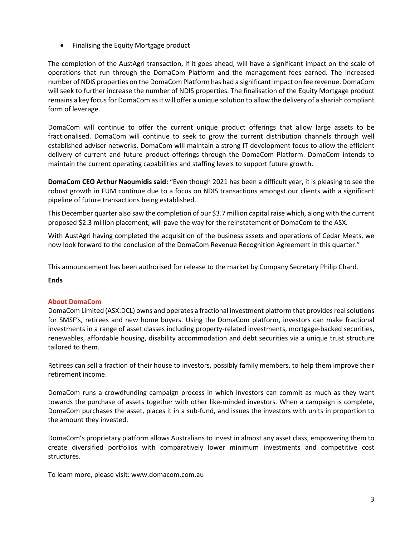• Finalising the Equity Mortgage product

The completion of the AustAgri transaction, if it goes ahead, will have a significant impact on the scale of operations that run through the DomaCom Platform and the management fees earned. The increased number of NDIS properties on the DomaCom Platform has had a significant impact on fee revenue. DomaCom will seek to further increase the number of NDIS properties. The finalisation of the Equity Mortgage product remains a key focus for DomaCom as it will offer a unique solution to allow the delivery of a shariah compliant form of leverage.

DomaCom will continue to offer the current unique product offerings that allow large assets to be fractionalised. DomaCom will continue to seek to grow the current distribution channels through well established adviser networks. DomaCom will maintain a strong IT development focus to allow the efficient delivery of current and future product offerings through the DomaCom Platform. DomaCom intends to maintain the current operating capabilities and staffing levels to support future growth.

**DomaCom CEO Arthur Naoumidis said:** "Even though 2021 has been a difficult year, it is pleasing to see the robust growth in FUM continue due to a focus on NDIS transactions amongst our clients with a significant pipeline of future transactions being established.

This December quarter also saw the completion of our \$3.7 million capital raise which, along with the current proposed \$2.3 million placement, will pave the way for the reinstatement of DomaCom to the ASX.

With AustAgri having completed the acquisition of the business assets and operations of Cedar Meats, we now look forward to the conclusion of the DomaCom Revenue Recognition Agreement in this quarter."

This announcement has been authorised for release to the market by Company Secretary Philip Chard.

#### **Ends**

## **About DomaCom**

DomaCom Limited (ASX:DCL) owns and operates a fractional investment platform that provides real solutions for SMSF's, retirees and new home buyers. Using the DomaCom platform, investors can make fractional investments in a range of asset classes including property-related investments, mortgage-backed securities, renewables, affordable housing, disability accommodation and debt securities via a unique trust structure tailored to them.

Retirees can sell a fraction of their house to investors, possibly family members, to help them improve their retirement income.

DomaCom runs a crowdfunding campaign process in which investors can commit as much as they want towards the purchase of assets together with other like-minded investors. When a campaign is complete, DomaCom purchases the asset, places it in a sub-fund, and issues the investors with units in proportion to the amount they invested.

DomaCom's proprietary platform allows Australians to invest in almost any asset class, empowering them to create diversified portfolios with comparatively lower minimum investments and competitive cost structures.

To learn more, please visit: www.domacom.com.au